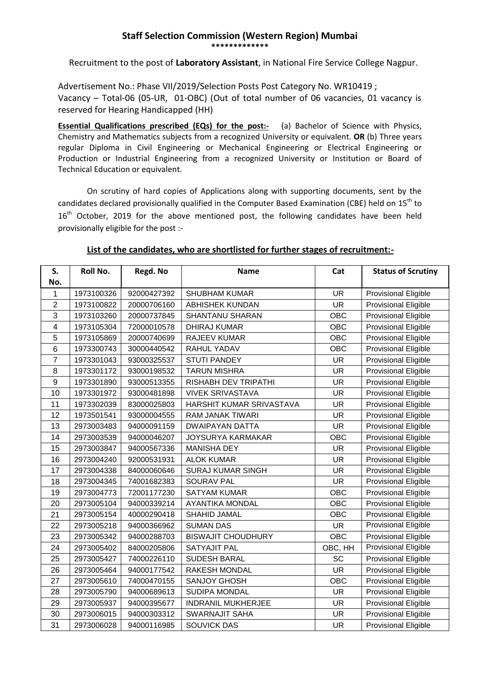## **Staff Selection Commission (Western Region) Mumbai \*\*\*\*\*\*\*\*\*\*\*\*\***

Recruitment to the post of **Laboratory Assistant**, in National Fire Service College Nagpur.

Advertisement No.: Phase VII/2019/Selection Posts Post Category No. WR10419 ; Vacancy – Total-06 (05-UR, 01-OBC) (Out of total number of 06 vacancies, 01 vacancy is reserved for Hearing Handicapped (HH)

**Essential Qualifications prescribed (EQs) for the post:-** (a) Bachelor of Science with Physics, Chemistry and Mathematics subjects from a recognized University or equivalent. **OR** (b) Three years regular Diploma in Civil Engineering or Mechanical Engineering or Electrical Engineering or Production or Industrial Engineering from a recognized University or Institution or Board of Technical Education or equivalent.

On scrutiny of hard copies of Applications along with supporting documents, sent by the candidates declared provisionally qualified in the Computer Based Examination (CBE) held on 15<sup>th</sup> to  $16<sup>th</sup>$  October, 2019 for the above mentioned post, the following candidates have been held provisionally eligible for the post :-

| S.<br>No.      | Roll No.   | Regd. No    | <b>Name</b>                 | Cat        | <b>Status of Scrutiny</b>   |
|----------------|------------|-------------|-----------------------------|------------|-----------------------------|
| 1              | 1973100326 | 92000427392 | <b>SHUBHAM KUMAR</b>        | <b>UR</b>  | <b>Provisional Eligible</b> |
| $\overline{2}$ | 1973100822 | 20000706160 | <b>ABHISHEK KUNDAN</b>      | <b>UR</b>  | <b>Provisional Eligible</b> |
| 3              | 1973103260 | 20000737845 | <b>SHANTANU SHARAN</b>      | <b>OBC</b> | <b>Provisional Eligible</b> |
| 4              | 1973105304 | 72000010578 | <b>DHIRAJ KUMAR</b>         | <b>OBC</b> | <b>Provisional Eligible</b> |
| 5              | 1973105869 | 20000740699 | RAJEEV KUMAR                | <b>OBC</b> | <b>Provisional Eligible</b> |
| 6              | 1973300743 | 30000440542 | RAHUL YADAV                 | OBC        | <b>Provisional Eligible</b> |
| $\overline{7}$ | 1973301043 | 93000325537 | <b>STUTI PANDEY</b>         | <b>UR</b>  | <b>Provisional Eligible</b> |
| 8              | 1973301172 | 93000198532 | <b>TARUN MISHRA</b>         | <b>UR</b>  | <b>Provisional Eligible</b> |
| 9              | 1973301890 | 93000513355 | <b>RISHABH DEV TRIPATHI</b> | <b>UR</b>  | <b>Provisional Eligible</b> |
| 10             | 1973301972 | 93000481898 | <b>VIVEK SRIVASTAVA</b>     | <b>UR</b>  | <b>Provisional Eligible</b> |
| 11             | 1973302039 | 83000025803 | HARSHIT KUMAR SRIVASTAVA    | <b>UR</b>  | <b>Provisional Eligible</b> |
| 12             | 1973501541 | 93000004555 | RAM JANAK TIWARI            | <b>UR</b>  | <b>Provisional Eligible</b> |
| 13             | 2973003483 | 94000091159 | <b>DWAIPAYAN DATTA</b>      | <b>UR</b>  | <b>Provisional Eligible</b> |
| 14             | 2973003539 | 94000046207 | <b>JOYSURYA KARMAKAR</b>    | <b>OBC</b> | <b>Provisional Eligible</b> |
| 15             | 2973003847 | 94000567336 | <b>MANISHA DEY</b>          | <b>UR</b>  | <b>Provisional Eligible</b> |
| 16             | 2973004240 | 92000531931 | <b>ALOK KUMAR</b>           | <b>UR</b>  | <b>Provisional Eligible</b> |
| 17             | 2973004338 | 84000060646 | <b>SURAJ KUMAR SINGH</b>    | <b>UR</b>  | <b>Provisional Eligible</b> |
| 18             | 2973004345 | 74001682383 | <b>SOURAV PAL</b>           | <b>UR</b>  | <b>Provisional Eligible</b> |
| 19             | 2973004773 | 72001177230 | <b>SATYAM KUMAR</b>         | <b>OBC</b> | <b>Provisional Eligible</b> |
| 20             | 2973005104 | 94000339214 | <b>AYANTIKA MONDAL</b>      | OBC        | <b>Provisional Eligible</b> |
| 21             | 2973005154 | 40000290418 | SHAHID JAMAL                | OBC        | <b>Provisional Eligible</b> |
| 22             | 2973005218 | 94000366962 | <b>SUMAN DAS</b>            | <b>UR</b>  | <b>Provisional Eligible</b> |
| 23             | 2973005342 | 94000288703 | <b>BISWAJIT CHOUDHURY</b>   | <b>OBC</b> | <b>Provisional Eligible</b> |
| 24             | 2973005402 | 84000205806 | <b>SATYAJIT PAL</b>         | OBC, HH    | <b>Provisional Eligible</b> |
| 25             | 2973005427 | 74000226110 | <b>SUDESH BARAL</b>         | SC         | <b>Provisional Eligible</b> |
| 26             | 2973005464 | 94000177542 | <b>RAKESH MONDAL</b>        | <b>UR</b>  | <b>Provisional Eligible</b> |
| 27             | 2973005610 | 74000470155 | <b>SANJOY GHOSH</b>         | <b>OBC</b> | <b>Provisional Eligible</b> |
| 28             | 2973005790 | 94000689613 | <b>SUDIPA MONDAL</b>        | <b>UR</b>  | <b>Provisional Eligible</b> |
| 29             | 2973005937 | 94000395677 | <b>INDRANIL MUKHERJEE</b>   | <b>UR</b>  | <b>Provisional Eligible</b> |
| 30             | 2973006015 | 94000303312 | SWARNAJIT SAHA              | <b>UR</b>  | <b>Provisional Eligible</b> |
| 31             | 2973006028 | 94000116985 | <b>SOUVICK DAS</b>          | <b>UR</b>  | <b>Provisional Eligible</b> |

## **List of the candidates, who are shortlisted for further stages of recruitment:-**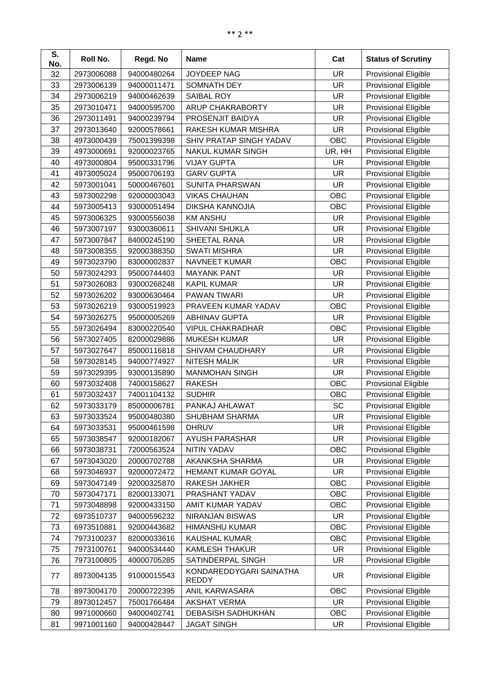| 32<br><b>UR</b><br>2973006088<br>94000480264<br>JOYDEEP NAG<br>33<br><b>UR</b><br>2973006139<br>94000011471<br>SOMNATH DEY<br>34<br><b>SAIBAL ROY</b><br><b>UR</b><br>2973006219<br>94000462639<br>35<br>ARUP CHAKRABORTY<br><b>UR</b><br>2973010471<br>94000595700<br>36<br>PROSENJIT BAIDYA<br><b>UR</b><br>2973011491<br>94000239794<br><b>UR</b><br>37<br>2973013640<br>92000578661<br>RAKESH KUMAR MISHRA<br>38<br>SHIV PRATAP SINGH YADAV<br>OBC<br>4973000439<br>75001399398 | <b>Status of Scrutiny</b>   |
|-------------------------------------------------------------------------------------------------------------------------------------------------------------------------------------------------------------------------------------------------------------------------------------------------------------------------------------------------------------------------------------------------------------------------------------------------------------------------------------|-----------------------------|
|                                                                                                                                                                                                                                                                                                                                                                                                                                                                                     | <b>Provisional Eligible</b> |
|                                                                                                                                                                                                                                                                                                                                                                                                                                                                                     | <b>Provisional Eligible</b> |
|                                                                                                                                                                                                                                                                                                                                                                                                                                                                                     | <b>Provisional Eligible</b> |
|                                                                                                                                                                                                                                                                                                                                                                                                                                                                                     | <b>Provisional Eligible</b> |
|                                                                                                                                                                                                                                                                                                                                                                                                                                                                                     | <b>Provisional Eligible</b> |
|                                                                                                                                                                                                                                                                                                                                                                                                                                                                                     | <b>Provisional Eligible</b> |
|                                                                                                                                                                                                                                                                                                                                                                                                                                                                                     | <b>Provisional Eligible</b> |
| 39<br>4973000691<br>92000023765<br><b>NAKUL KUMAR SINGH</b><br>UR, HH                                                                                                                                                                                                                                                                                                                                                                                                               | <b>Provisional Eligible</b> |
| 40<br>95000331796<br><b>VIJAY GUPTA</b><br><b>UR</b><br>4973000804                                                                                                                                                                                                                                                                                                                                                                                                                  | <b>Provisional Eligible</b> |
| 41<br><b>GARV GUPTA</b><br><b>UR</b><br>4973005024<br>95000706193                                                                                                                                                                                                                                                                                                                                                                                                                   | <b>Provisional Eligible</b> |
| 42<br>SUNITA PHARSWAN<br><b>UR</b><br>5973001041<br>50000467601                                                                                                                                                                                                                                                                                                                                                                                                                     | <b>Provisional Eligible</b> |
| 43<br>OBC<br>5973002298<br>92000003043<br><b>VIKAS CHAUHAN</b>                                                                                                                                                                                                                                                                                                                                                                                                                      | <b>Provisional Eligible</b> |
| 44<br>OBC<br>5973005413<br>93000051494<br>DIKSHA KANNOJIA                                                                                                                                                                                                                                                                                                                                                                                                                           | <b>Provisional Eligible</b> |
| 45<br><b>KM ANSHU</b><br><b>UR</b><br>5973006325<br>93000556038                                                                                                                                                                                                                                                                                                                                                                                                                     | Provisional Eligible        |
| 46<br><b>UR</b><br>SHIVANI SHUKLA<br>5973007197<br>93000360611                                                                                                                                                                                                                                                                                                                                                                                                                      | Provisional Eligible        |
| 47<br><b>UR</b><br>SHEETAL RANA<br>5973007847<br>84000245190                                                                                                                                                                                                                                                                                                                                                                                                                        | <b>Provisional Eligible</b> |
| <b>UR</b><br><b>SWATI MISHRA</b><br>48<br>5973008355<br>92000388350                                                                                                                                                                                                                                                                                                                                                                                                                 | <b>Provisional Eligible</b> |
| 49<br><b>NAVNEET KUMAR</b><br>OBC<br>5973023790<br>83000002837                                                                                                                                                                                                                                                                                                                                                                                                                      | <b>Provisional Eligible</b> |
| 50<br>5973024293<br>95000744403<br><b>MAYANK PANT</b><br><b>UR</b>                                                                                                                                                                                                                                                                                                                                                                                                                  | <b>Provisional Eligible</b> |
| 51<br><b>UR</b><br>5973026083<br>93000268248<br><b>KAPIL KUMAR</b>                                                                                                                                                                                                                                                                                                                                                                                                                  | <b>Provisional Eligible</b> |
| 52<br>5973026202<br>PAWAN TIWARI<br><b>UR</b><br>93000630464                                                                                                                                                                                                                                                                                                                                                                                                                        | <b>Provisional Eligible</b> |
| 53<br>OBC<br>5973026219<br>93000519923<br>PRAVEEN KUMAR YADAV                                                                                                                                                                                                                                                                                                                                                                                                                       | Provisional Eligible        |
| <b>UR</b><br>54<br>5973026275<br><b>ABHINAV GUPTA</b><br>95000005269                                                                                                                                                                                                                                                                                                                                                                                                                | <b>Provisional Eligible</b> |
| 55<br><b>OBC</b><br><b>VIPUL CHAKRADHAR</b><br>5973026494<br>83000220540                                                                                                                                                                                                                                                                                                                                                                                                            | <b>Provisional Eligible</b> |
| 56<br><b>MUKESH KUMAR</b><br><b>UR</b><br>5973027405<br>82000029886                                                                                                                                                                                                                                                                                                                                                                                                                 | Provisional Eligible        |
| 57<br><b>UR</b><br>SHIVAM CHAUDHARY<br>5973027647<br>85000116818                                                                                                                                                                                                                                                                                                                                                                                                                    | <b>Provisional Eligible</b> |
| <b>UR</b><br>58<br>5973028145<br>94000774927<br><b>NITESH MALIK</b>                                                                                                                                                                                                                                                                                                                                                                                                                 | <b>Provisional Eligible</b> |
| 93000135890<br><b>MANMOHAN SINGH</b><br><b>UR</b><br>59<br>5973029395                                                                                                                                                                                                                                                                                                                                                                                                               | <b>Provisional Eligible</b> |
| <b>OBC</b><br><b>RAKESH</b><br>60<br>5973032408<br>74000158627                                                                                                                                                                                                                                                                                                                                                                                                                      | Provsional Eligible         |
| 61<br>74001104132<br><b>SUDHIR</b><br>OBC<br>5973032437                                                                                                                                                                                                                                                                                                                                                                                                                             | <b>Provisional Eligible</b> |
| 62<br>SC<br>5973033179<br>85000006781<br>PANKAJ AHLAWAT                                                                                                                                                                                                                                                                                                                                                                                                                             | <b>Provisional Eligible</b> |
| 63<br><b>UR</b><br>5973033524<br>95000480380<br>SHUBHAM SHARMA                                                                                                                                                                                                                                                                                                                                                                                                                      | <b>Provisional Eligible</b> |
| 64<br><b>DHRUV</b><br><b>UR</b><br>5973033531<br>95000461598                                                                                                                                                                                                                                                                                                                                                                                                                        | <b>Provisional Eligible</b> |
| AYUSH PARASHAR<br><b>UR</b><br>65<br>5973038547<br>92000182067                                                                                                                                                                                                                                                                                                                                                                                                                      | Provisional Eligible        |
| OBC<br>66<br>NITIN YADAV<br>5973038731<br>72000563524                                                                                                                                                                                                                                                                                                                                                                                                                               | <b>Provisional Eligible</b> |
| AKANKSHA SHARMA<br><b>UR</b><br>67<br>5973043020<br>20000702788                                                                                                                                                                                                                                                                                                                                                                                                                     | Provisional Eligible        |
| 68<br><b>UR</b><br>5973046937<br>92000072472<br>HEMANT KUMAR GOYAL                                                                                                                                                                                                                                                                                                                                                                                                                  | Provisional Eligible        |
| 69<br>5973047149<br>92000325870<br>RAKESH JAKHER<br>OBC                                                                                                                                                                                                                                                                                                                                                                                                                             | Provisional Eligible        |
| 70<br>5973047171<br>82000133071<br>PRASHANT YADAV<br><b>OBC</b>                                                                                                                                                                                                                                                                                                                                                                                                                     | Provisional Eligible        |
| 71<br>92000433150<br>OBC<br>5973048898<br>AMIT KUMAR YADAV                                                                                                                                                                                                                                                                                                                                                                                                                          | <b>Provisional Eligible</b> |
| 72<br>6973510737<br>94000596232<br>NIRANJAN BISWAS<br>UR.                                                                                                                                                                                                                                                                                                                                                                                                                           | Provisional Eligible        |
| 73<br>OBC<br><b>HIMANSHU KUMAR</b><br>6973510881<br>92000443682                                                                                                                                                                                                                                                                                                                                                                                                                     | Provisional Eligible        |
| 74<br>OBC<br>7973100237<br>KAUSHAL KUMAR<br>82000033616                                                                                                                                                                                                                                                                                                                                                                                                                             | Provisional Eligible        |
| 75<br>7973100761<br><b>KAMLESH THAKUR</b><br><b>UR</b><br>94000534440                                                                                                                                                                                                                                                                                                                                                                                                               | Provisional Eligible        |
| SATINDERPAL SINGH<br>UR<br>76<br>7973100805<br>40000705285                                                                                                                                                                                                                                                                                                                                                                                                                          | Provisional Eligible        |
| KONDAREDDYGARI SAINATHA<br><b>UR</b><br>8973004135<br>91000015543<br>77<br><b>REDDY</b>                                                                                                                                                                                                                                                                                                                                                                                             | Provisional Eligible        |
| 8973004170<br>20000722395<br>OBC<br>78<br>ANIL KARWASARA                                                                                                                                                                                                                                                                                                                                                                                                                            | <b>Provisional Eligible</b> |
| 79<br><b>UR</b><br>8973012457<br>75001766484<br><b>AKSHAT VERMA</b>                                                                                                                                                                                                                                                                                                                                                                                                                 | Provisional Eligible        |
| OBC<br>80<br>9971000660<br>94000402741<br>DEBASISH SADHUKHAN                                                                                                                                                                                                                                                                                                                                                                                                                        | <b>Provisional Eligible</b> |
| 81<br>9971001160<br>94000428447<br><b>JAGAT SINGH</b><br><b>UR</b>                                                                                                                                                                                                                                                                                                                                                                                                                  | Provisional Eligible        |